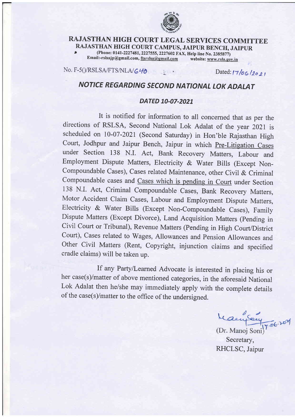

## RAJASTHAN HIGH COURT LEGAL SERVICES COMMITTEE RAJASTHAN HIGH COURT CAMPUS, JAIPUR BENCH, JAIPUR<br>
(Phone: 0141-2227481, 2227555, 2227602 FAX, Help line No. 2385877)

Email:-rslsajp@gmail.com, ftsrslsa@gmail.com website: www.rsla.gov.in

No. F-5()/RSLSA/FTS/NLA/ $G$ 40 Dated: lz  $O_{2}$  r Dated: lz  $O_{2}$  r

r,

## NOTICE REGARDING SECOND NATIONAL LOK ADALAT

## DATED 10-07-2021

It is notified for information to all concerned that as per the directions of RSLSA, Second National Lok Adalat of the year 2021 is scheduled on 10-07-2021 (Second Saturday) in Hon'ble Rajasthan High court, Jodhpur and Jaipur Bench, Jaipur in which pre-Litigation cases under section 138 N.I. Act, Bank Recovery Matters, Labour and Employment Dispute Matters, Electricity & water Bills (Except Non-Compoundable Cases), Cases related Maintenance, other Civil & Criminal Compoundable cases and Cases which is pending in Court under Section <sup>138</sup>N.I. Act, Criminal Compoundable Cases, Bank Recovery Matters, Motor Accident claim cases, Labour and Employment Dispute Matters, Electricity & water Bills (Except Non-compoundable cases), Family Dispute Matters (Except Divorce), Land Acquisition Matters (pending in Civil Court or Tribunal), Revenue Matters (Pending in High Court/District Court), Cases related to Wages, Allowances and Pension Allowances and Other Civil Matters (Rent, Copyright, injunction claims and specified cradle claims) will be taken up.

If any PartylLearned Advocate is interested in placing his or her case(s)/matter of above mentioned categories, in the aforesaid National Lok Adalat then he/she may immediately apply with the complete details of the case(s)/matter to the office of the undersiqned.

MasseySour<br>(Dr. Manoj Soni)<sup>7.06.201</sup>

Secretary, RHCLSC, Jaipur